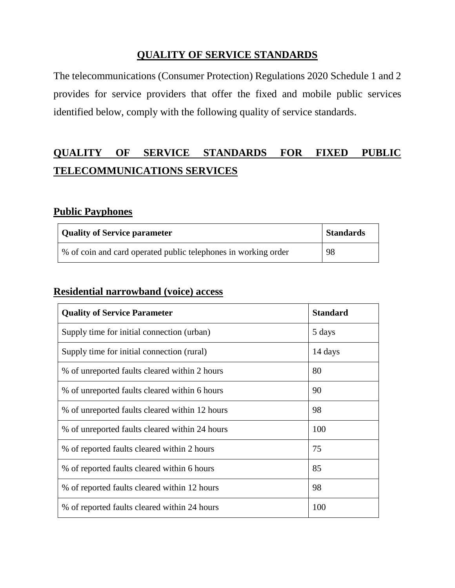#### **QUALITY OF SERVICE STANDARDS**

The telecommunications (Consumer Protection) Regulations 2020 Schedule 1 and 2 provides for service providers that offer the fixed and mobile public services identified below, comply with the following quality of service standards.

## **QUALITY OF SERVICE STANDARDS FOR FIXED PUBLIC TELECOMMUNICATIONS SERVICES**

#### **Public Payphones**

| <b>Quality of Service parameter</b>                            | <b>Standards</b> |
|----------------------------------------------------------------|------------------|
| % of coin and card operated public telephones in working order | 98               |

#### **Residential narrowband (voice) access**

| <b>Quality of Service Parameter</b>            | <b>Standard</b> |
|------------------------------------------------|-----------------|
| Supply time for initial connection (urban)     | 5 days          |
| Supply time for initial connection (rural)     | 14 days         |
| % of unreported faults cleared within 2 hours  | 80              |
| % of unreported faults cleared within 6 hours  | 90              |
| % of unreported faults cleared within 12 hours | 98              |
| % of unreported faults cleared within 24 hours | 100             |
| % of reported faults cleared within 2 hours    | 75              |
| % of reported faults cleared within 6 hours    | 85              |
| % of reported faults cleared within 12 hours   | 98              |
| % of reported faults cleared within 24 hours   | 100             |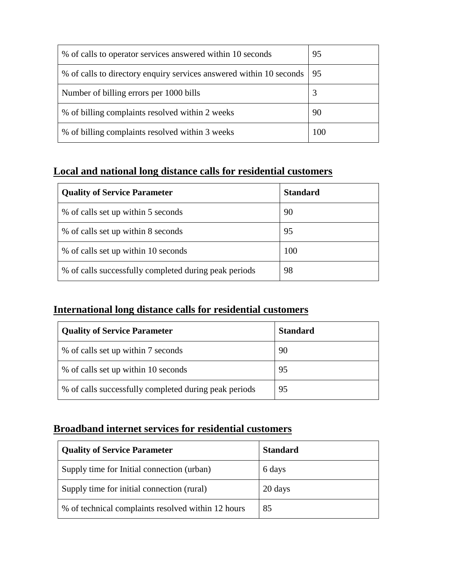| % of calls to operator services answered within 10 seconds          | 95  |
|---------------------------------------------------------------------|-----|
| % of calls to directory enquiry services answered within 10 seconds | -95 |
| Number of billing errors per 1000 bills                             | 3   |
| % of billing complaints resolved within 2 weeks                     | 90  |
| % of billing complaints resolved within 3 weeks                     | 100 |

#### **Local and national long distance calls for residential customers**

| <b>Quality of Service Parameter</b>                   | <b>Standard</b> |
|-------------------------------------------------------|-----------------|
| % of calls set up within 5 seconds                    | 90              |
| % of calls set up within 8 seconds                    | 95              |
| % of calls set up within 10 seconds                   | 100             |
| % of calls successfully completed during peak periods | 98              |

#### **International long distance calls for residential customers**

| <b>Quality of Service Parameter</b>                   | <b>Standard</b> |
|-------------------------------------------------------|-----------------|
| % of calls set up within 7 seconds                    | 90              |
| % of calls set up within 10 seconds                   | 95              |
| % of calls successfully completed during peak periods | 95              |

#### **Broadband internet services for residential customers**

| <b>Quality of Service Parameter</b>                | <b>Standard</b> |
|----------------------------------------------------|-----------------|
| Supply time for Initial connection (urban)         | 6 days          |
| Supply time for initial connection (rural)         | 20 days         |
| % of technical complaints resolved within 12 hours | 85              |